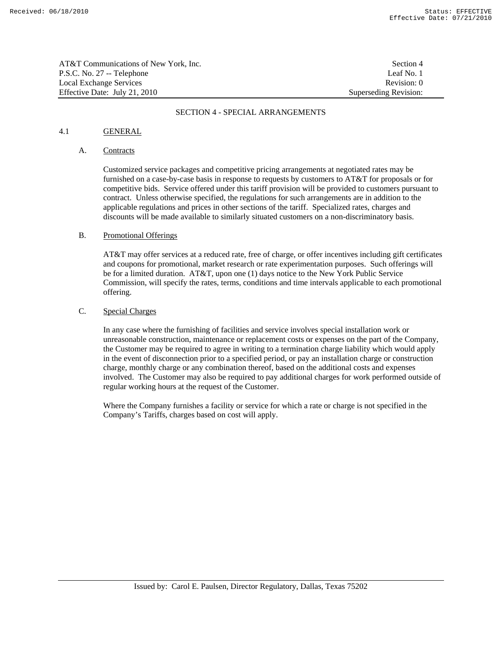| AT&T Communications of New York, Inc. | Section 4             |
|---------------------------------------|-----------------------|
| P.S.C. No. 27 -- Telephone            | Leaf No. 1            |
| Local Exchange Services               | Revision: 0           |
| Effective Date: July 21, 2010         | Superseding Revision: |

### SECTION 4 - SPECIAL ARRANGEMENTS

## 4.1 GENERAL

### A. Contracts

Customized service packages and competitive pricing arrangements at negotiated rates may be furnished on a case-by-case basis in response to requests by customers to AT&T for proposals or for competitive bids. Service offered under this tariff provision will be provided to customers pursuant to contract. Unless otherwise specified, the regulations for such arrangements are in addition to the applicable regulations and prices in other sections of the tariff. Specialized rates, charges and discounts will be made available to similarly situated customers on a non-discriminatory basis.

### B. Promotional Offerings

 AT&T may offer services at a reduced rate, free of charge, or offer incentives including gift certificates and coupons for promotional, market research or rate experimentation purposes. Such offerings will be for a limited duration. AT&T, upon one (1) days notice to the New York Public Service Commission, will specify the rates, terms, conditions and time intervals applicable to each promotional offering.

# C. Special Charges

 In any case where the furnishing of facilities and service involves special installation work or unreasonable construction, maintenance or replacement costs or expenses on the part of the Company, the Customer may be required to agree in writing to a termination charge liability which would apply in the event of disconnection prior to a specified period, or pay an installation charge or construction charge, monthly charge or any combination thereof, based on the additional costs and expenses involved. The Customer may also be required to pay additional charges for work performed outside of regular working hours at the request of the Customer.

 Where the Company furnishes a facility or service for which a rate or charge is not specified in the Company's Tariffs, charges based on cost will apply.